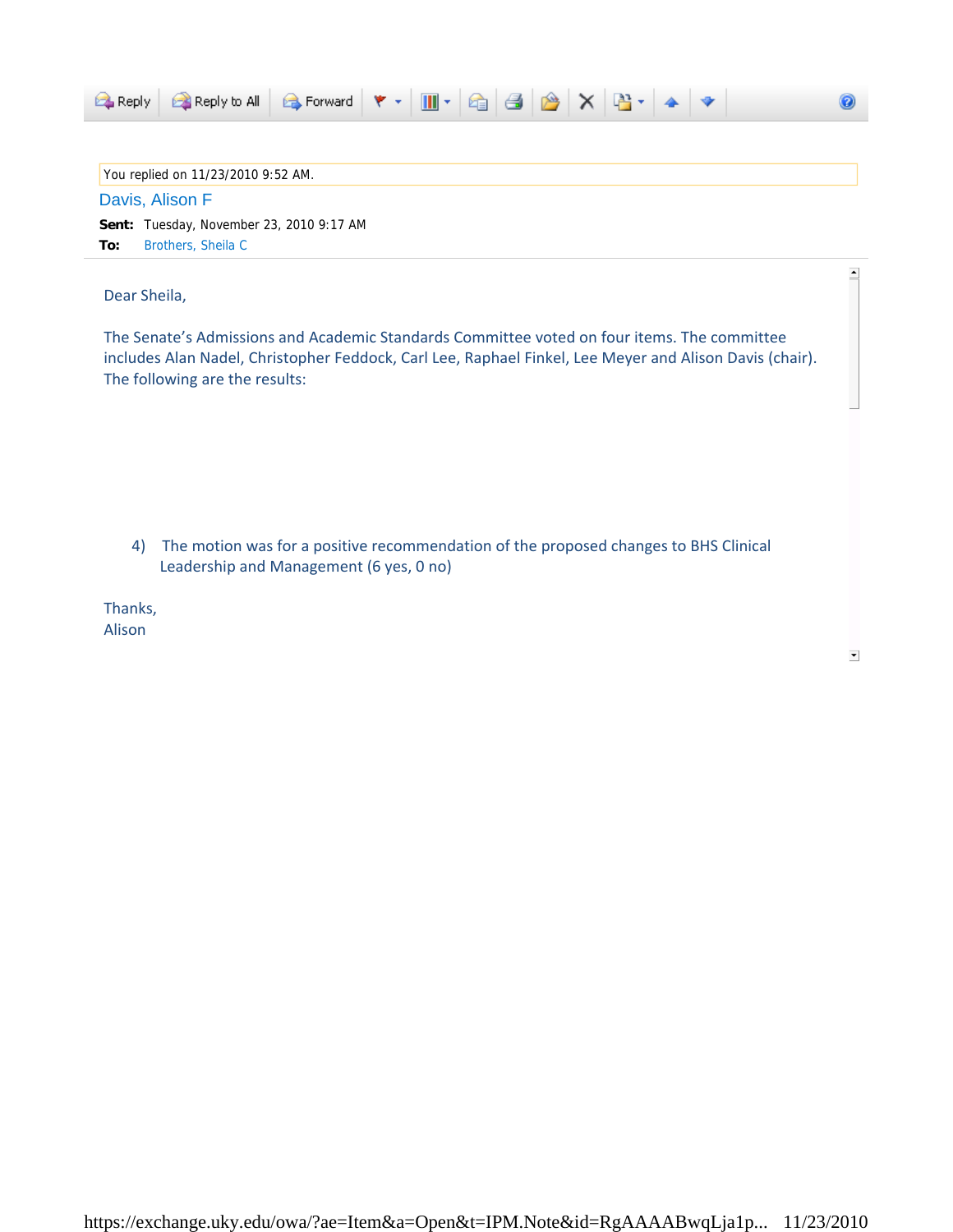| <b>B</b> Reply to All B Forward ♥ ▼ Ⅲ ▼ B B B X B ▼ 4 ♥<br><b>E</b> Reply    |  |
|------------------------------------------------------------------------------|--|
|                                                                              |  |
| You replied on 11/23/2010 9:52 AM.                                           |  |
| Davis, Alison F                                                              |  |
| <b>Sent:</b> Tuesday, November 23, 2010 9:17 AM<br>Brothers, Sheila C<br>To: |  |

Dear Sheila,

The Senate's Admissions and Academic Standards Committee voted on four items. The committee includes Alan Nadel, Christopher Feddock, Carl Lee, Raphael Finkel, Lee Meyer and Alison Davis (chair). The following are the results:

4) The motion was for a positive recommendation of the proposed changes to BHS Clinical Leadership and Management (6 yes, 0 no)

Thanks, Alison

 $\blacktriangledown$ 

 $\blacktriangle$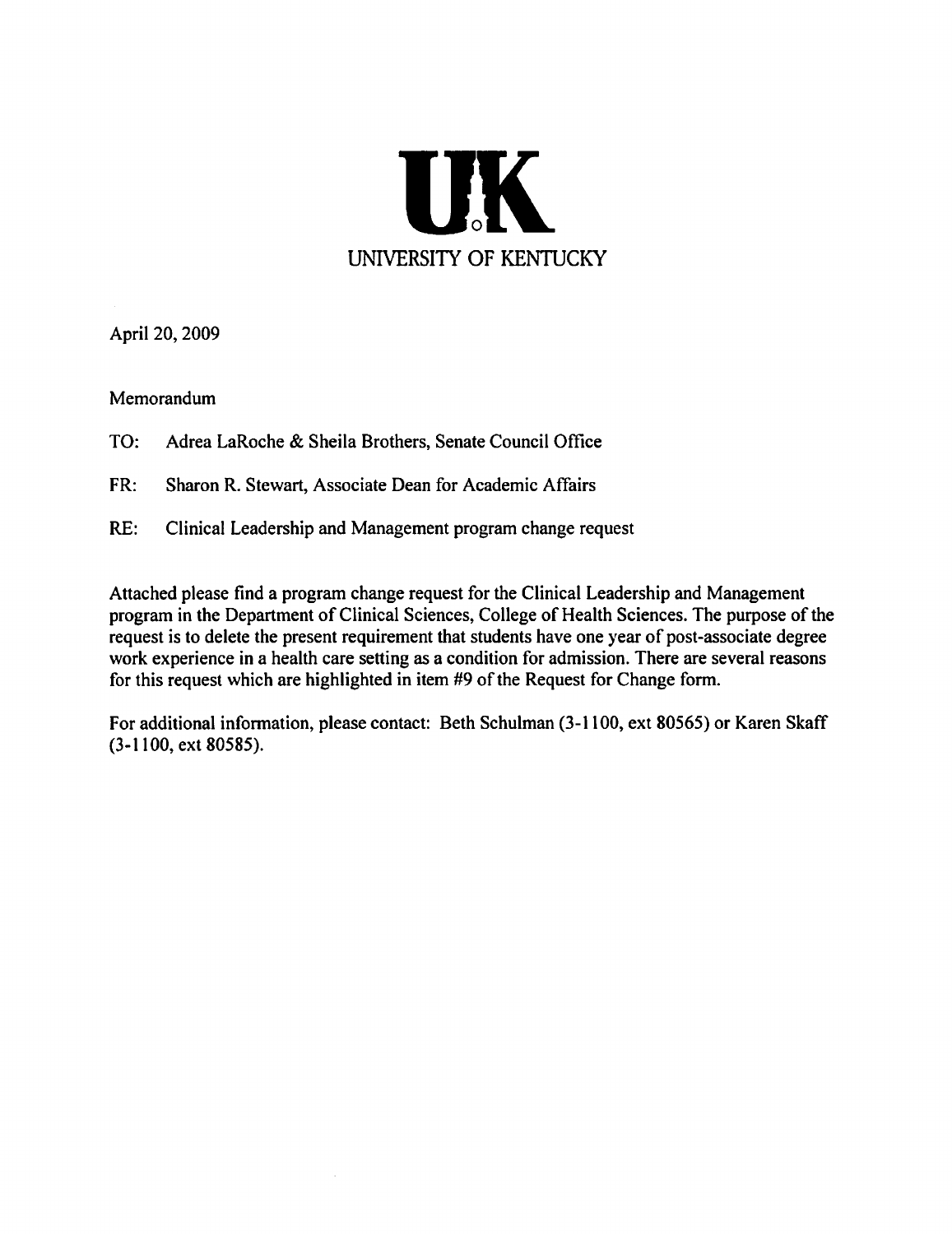

April 20, 2009

Memorandum

- TO: Adrea LaRoche & Sheila Brothers, Senate Council Office
- FR: Sharon R. Stewart, Associate Dean for Academic Affairs
- $RE:$ Clinical Leadership and Management program change request

Attached please find a program change request for the Clinical Leadership and Management program in the Department of Clinical Sciences, College of Health Sciences. The purpose of the request is to delete the present requirement that students have one year of post-associate degree work experience in a health care setting as a condition for admission. There are several reasons for this request which are highlighted in item #9 of the Request for Change form.

For additional information, please contact: Beth Schulman (3-1100, ext 80565) or Karen Skaff  $(3-1100, ext 80585).$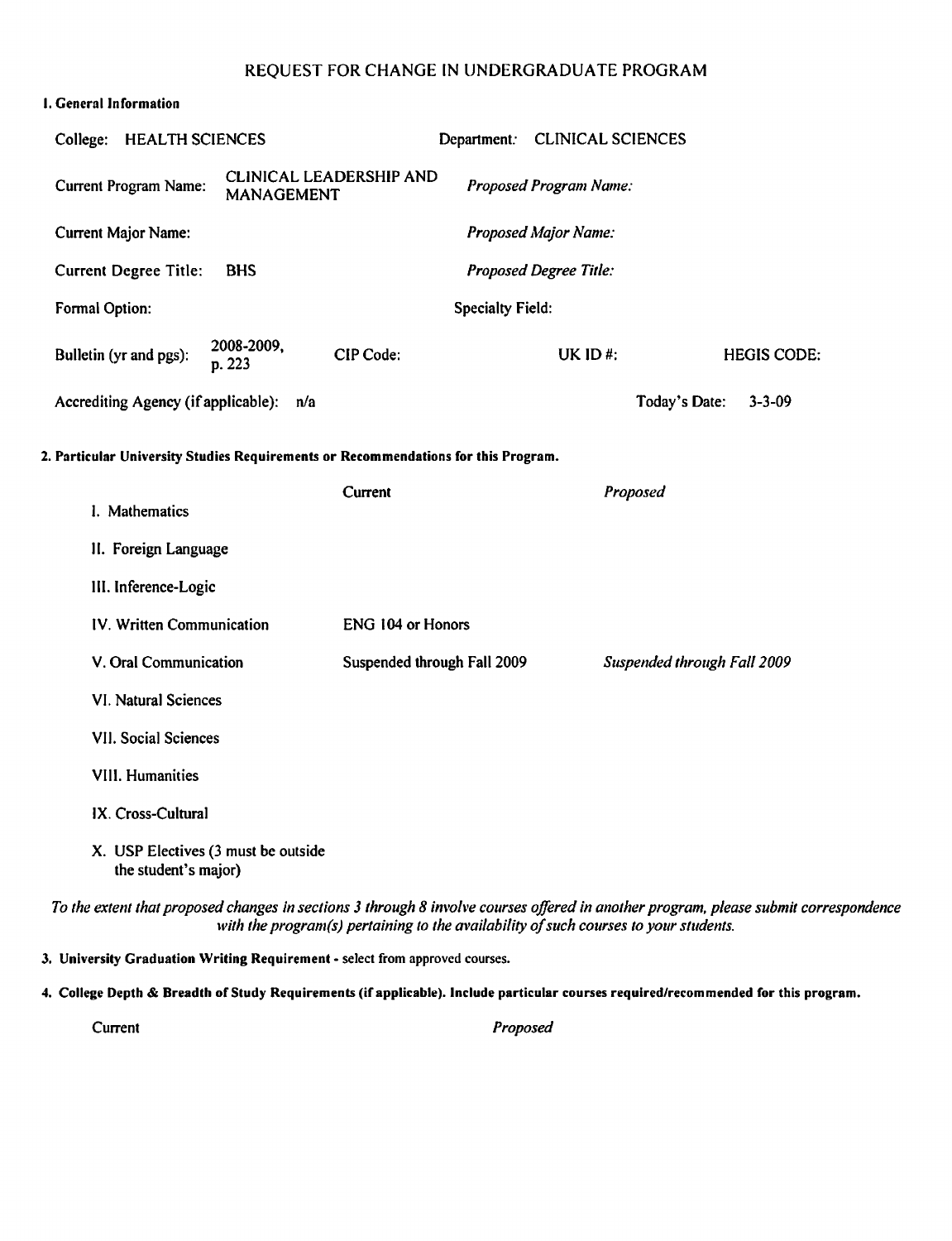#### **1. General Information**

| <b>CLINICAL LEADERSHIP AND</b><br>Proposed Program Name:<br><b>Current Program Name:</b><br><b>MANAGEMENT</b><br><b>Current Major Name:</b><br><b>Proposed Major Name:</b><br><b>Current Degree Title:</b><br>Proposed Degree Title:<br><b>BHS</b><br>Formal Option:<br><b>Specialty Field:</b><br>2008-2009,<br>Bulletin (yr and pgs):<br>CIP Code:<br>UK ID#:<br><b>HEGIS CODE:</b><br>p. 223<br>Accrediting Agency (if applicable): n/a<br>Today's Date:<br>$3 - 3 - 09$<br>2. Particular University Studies Requirements or Recommendations for this Program.<br>Current<br>Proposed<br>I. Mathematics<br>II. Foreign Language<br>III. Inference-Logic<br>IV. Written Communication<br>ENG 104 or Honors<br>V. Oral Communication<br>Suspended through Fall 2009<br>Suspended through Fall 2009<br><b>VI. Natural Sciences</b><br>VII. Social Sciences<br>VIII. Humanities<br>IX. Cross-Cultural<br>X. USP Electives (3 must be outside<br>the student's major) | College: HEALTH SCIENCES | Department: CLINICAL SCIENCES |  |
|---------------------------------------------------------------------------------------------------------------------------------------------------------------------------------------------------------------------------------------------------------------------------------------------------------------------------------------------------------------------------------------------------------------------------------------------------------------------------------------------------------------------------------------------------------------------------------------------------------------------------------------------------------------------------------------------------------------------------------------------------------------------------------------------------------------------------------------------------------------------------------------------------------------------------------------------------------------------|--------------------------|-------------------------------|--|
|                                                                                                                                                                                                                                                                                                                                                                                                                                                                                                                                                                                                                                                                                                                                                                                                                                                                                                                                                                     |                          |                               |  |
|                                                                                                                                                                                                                                                                                                                                                                                                                                                                                                                                                                                                                                                                                                                                                                                                                                                                                                                                                                     |                          |                               |  |
|                                                                                                                                                                                                                                                                                                                                                                                                                                                                                                                                                                                                                                                                                                                                                                                                                                                                                                                                                                     |                          |                               |  |
|                                                                                                                                                                                                                                                                                                                                                                                                                                                                                                                                                                                                                                                                                                                                                                                                                                                                                                                                                                     |                          |                               |  |
|                                                                                                                                                                                                                                                                                                                                                                                                                                                                                                                                                                                                                                                                                                                                                                                                                                                                                                                                                                     |                          |                               |  |
|                                                                                                                                                                                                                                                                                                                                                                                                                                                                                                                                                                                                                                                                                                                                                                                                                                                                                                                                                                     |                          |                               |  |
|                                                                                                                                                                                                                                                                                                                                                                                                                                                                                                                                                                                                                                                                                                                                                                                                                                                                                                                                                                     |                          |                               |  |
|                                                                                                                                                                                                                                                                                                                                                                                                                                                                                                                                                                                                                                                                                                                                                                                                                                                                                                                                                                     |                          |                               |  |
|                                                                                                                                                                                                                                                                                                                                                                                                                                                                                                                                                                                                                                                                                                                                                                                                                                                                                                                                                                     |                          |                               |  |
|                                                                                                                                                                                                                                                                                                                                                                                                                                                                                                                                                                                                                                                                                                                                                                                                                                                                                                                                                                     |                          |                               |  |
|                                                                                                                                                                                                                                                                                                                                                                                                                                                                                                                                                                                                                                                                                                                                                                                                                                                                                                                                                                     |                          |                               |  |
|                                                                                                                                                                                                                                                                                                                                                                                                                                                                                                                                                                                                                                                                                                                                                                                                                                                                                                                                                                     |                          |                               |  |
|                                                                                                                                                                                                                                                                                                                                                                                                                                                                                                                                                                                                                                                                                                                                                                                                                                                                                                                                                                     |                          |                               |  |
|                                                                                                                                                                                                                                                                                                                                                                                                                                                                                                                                                                                                                                                                                                                                                                                                                                                                                                                                                                     |                          |                               |  |
|                                                                                                                                                                                                                                                                                                                                                                                                                                                                                                                                                                                                                                                                                                                                                                                                                                                                                                                                                                     |                          |                               |  |
|                                                                                                                                                                                                                                                                                                                                                                                                                                                                                                                                                                                                                                                                                                                                                                                                                                                                                                                                                                     |                          |                               |  |
|                                                                                                                                                                                                                                                                                                                                                                                                                                                                                                                                                                                                                                                                                                                                                                                                                                                                                                                                                                     |                          |                               |  |

To the extent that proposed changes in sections 3 through 8 involve courses offered in another program, please submit correspondence with the program(s) pertaining to the availability of such courses to your students.

3. University Graduation Writing Requirement - select from approved courses.

4. College Depth & Breadth of Study Requirements (if applicable). Include particular courses required/recommended for this program.

Current

Proposed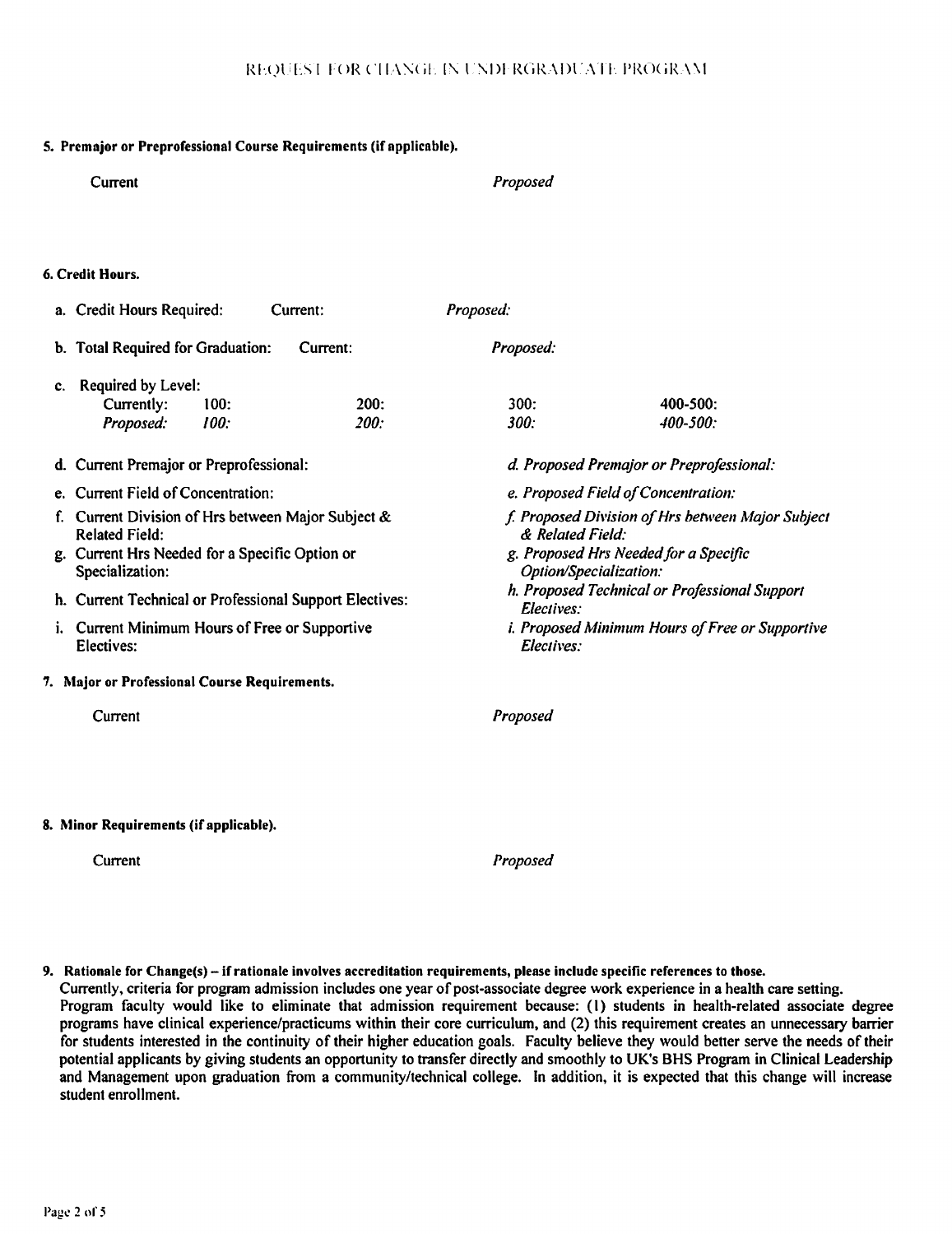Proposed

### 5. Premajor or Preprofessional Course Requirements (if applicable).

|    | 6. Credit Hours.                                                         |              |                        |                                                   |
|----|--------------------------------------------------------------------------|--------------|------------------------|---------------------------------------------------|
|    | a. Credit Hours Required:                                                | Current:     | Proposed:              |                                                   |
| b. | <b>Total Required for Graduation:</b>                                    | Current:     | Proposed:              |                                                   |
| c. | Required by Level:<br>Currently:<br>100:<br>100:<br>Proposed:            | 200:<br>200: | 300:<br>300:           | 400-500:<br>$400 - 500$                           |
|    | d. Current Premajor or Preprofessional:                                  |              |                        | d. Proposed Premajor or Preprofessional:          |
|    | e. Current Field of Concentration:                                       |              |                        | e. Proposed Field of Concentration:               |
|    | Current Division of Hrs between Major Subject &<br><b>Related Field:</b> |              | & Related Field:       | f. Proposed Division of Hrs between Major Subject |
|    | g. Current Hrs Needed for a Specific Option or<br>Specialization:        |              | Option/Specialization: | g. Proposed Hrs Needed for a Specific             |
|    | h. Current Technical or Professional Support Electives:                  |              | Electives:             | h. Proposed Technical or Professional Support     |
| i. | Current Minimum Hours of Free or Supportive<br>Electives:                |              | Electives:             | i. Proposed Minimum Hours of Free or Supportive   |
|    | 7. Major or Professional Course Requirements.                            |              |                        |                                                   |
|    | Current                                                                  |              | Proposed               |                                                   |
|    |                                                                          |              |                        |                                                   |
|    |                                                                          |              |                        |                                                   |
|    | 8. Minor Requirements (if applicable).                                   |              |                        |                                                   |

Current

Current

Proposed

9. Rationale for Change(s) - if rationale involves accreditation requirements, please include specific references to those.

Currently, criteria for program admission includes one year of post-associate degree work experience in a health care setting. Program faculty would like to eliminate that admission requirement because: (1) students in health-related associate degree programs have clinical experience/practicums within their core curriculum, and (2) this requirement creates an unnecessary barrier for students interested in the continuity of their higher education goals. Faculty believe they would better serve the needs of their potential applicants by giving students an opportunity to transfer directly and smoothly to UK's BHS Program in Clinical Leadership and Management upon graduation from a community/technical college. In addition, it is expected that this change will increase student enrollment.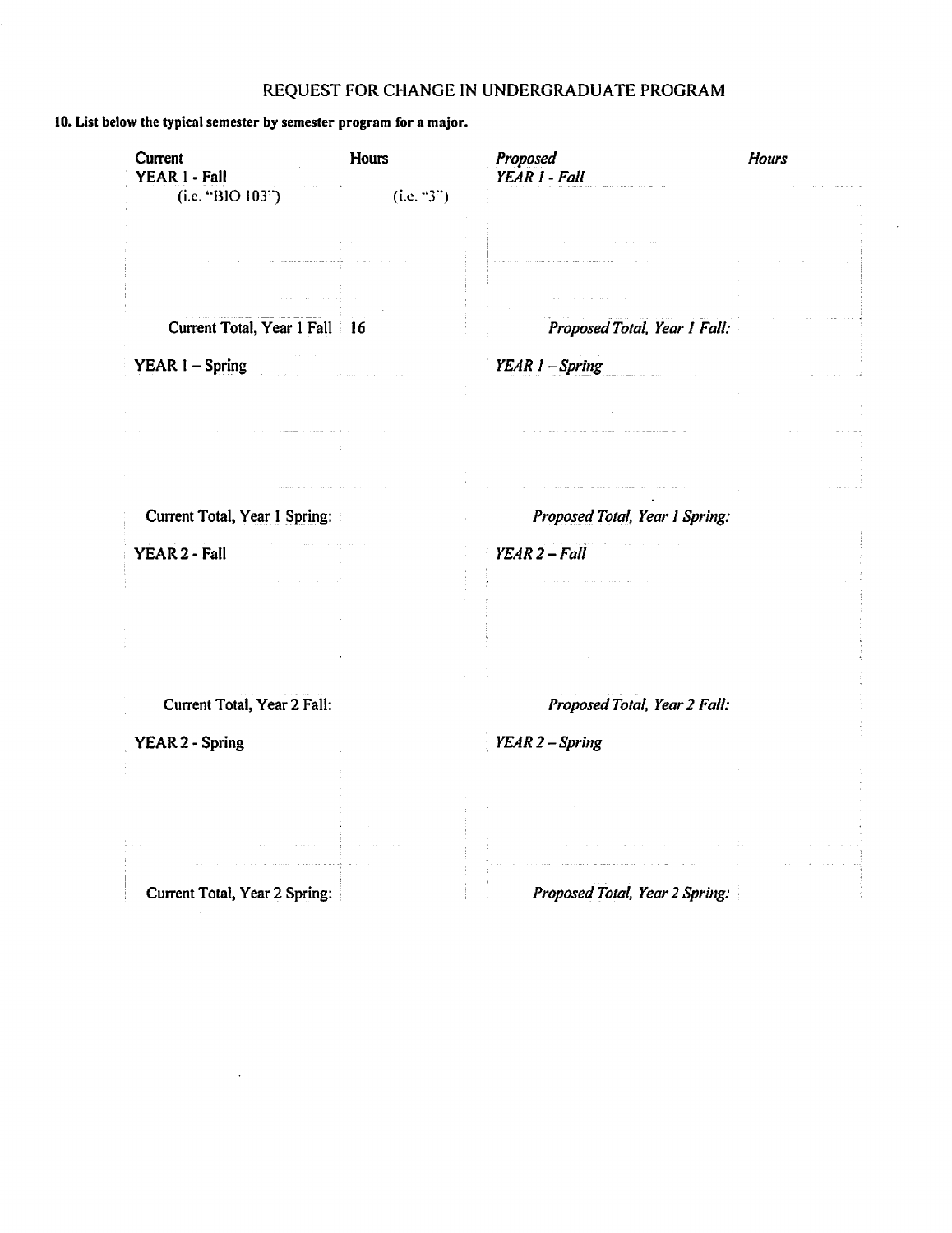### 10. List below the typical semester by semester program for a major.

| Current<br>YEAR 1 - Fall        | Hours      | Proposed<br>YEAR 1 - Fall          | <b>Hours</b> |
|---------------------------------|------------|------------------------------------|--------------|
| (i.e. "BIO 103")                | (i.e. "3") |                                    |              |
|                                 |            |                                    |              |
|                                 |            |                                    |              |
|                                 |            |                                    |              |
| Current Total, Year 1 Fall   16 |            | Proposed Total, Year 1 Fall:       |              |
| YEAR I - Spring                 |            | YEAR 1 - Spring                    |              |
|                                 |            |                                    |              |
|                                 |            |                                    |              |
|                                 |            |                                    |              |
|                                 |            | المستحدث المتفاعل وللفراء القرابية |              |
| Current Total, Year 1 Spring:   |            | Proposed Total, Year 1 Spring:     |              |
| YEAR 2 - Fall                   |            | $YEAR 2 - Fall$                    |              |
|                                 |            |                                    |              |
|                                 |            |                                    |              |
|                                 |            |                                    |              |
|                                 |            |                                    |              |
| Current Total, Year 2 Fall:     |            | Proposed Total, Year 2 Fall:       |              |
| <b>YEAR 2 - Spring</b>          |            | YEAR 2 - Spring                    |              |
|                                 |            |                                    |              |
|                                 |            |                                    |              |
|                                 |            |                                    |              |
|                                 |            |                                    |              |
| Current Total, Year 2 Spring:   |            | Proposed Total, Year 2 Spring:     |              |

 $\sim$ 

 $\mathcal{L}_{\mathbf{a}}$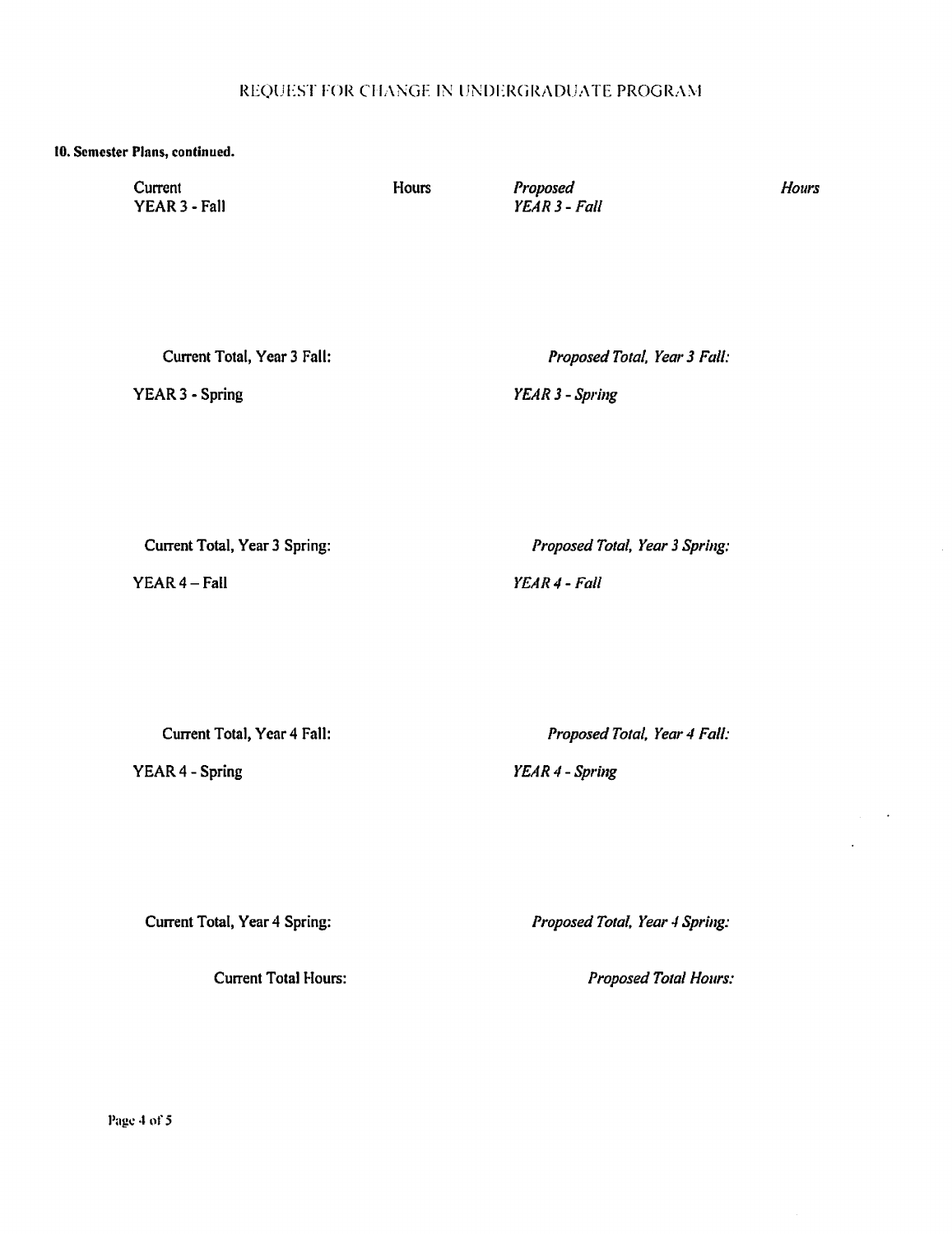#### 10. Semester Plans, continued.

Current YEAR 3 - Fall Hours

Proposed  $YEAR3 - Fall$  **Hours** 

 $\mathcal{A}$ 

 $\ddot{\phantom{a}}$ 

Current Total, Year 3 Fall:

YEAR 3 - Spring

Proposed Total, Year 3 Fall:

YEAR 3 - Spring

Current Total, Year 3 Spring:

YEAR 4 - Fall

Proposed Total, Year 3 Spring:

YEAR 4 - Fall

Current Total, Year 4 Fall:

YEAR 4 - Spring

Proposed Total, Year 4 Fall:

YEAR 4 - Spring

Current Total, Year 4 Spring:

**Current Total Hours:** 

Proposed Total, Year 4 Spring:

Proposed Total Hours:

Page 4 of 5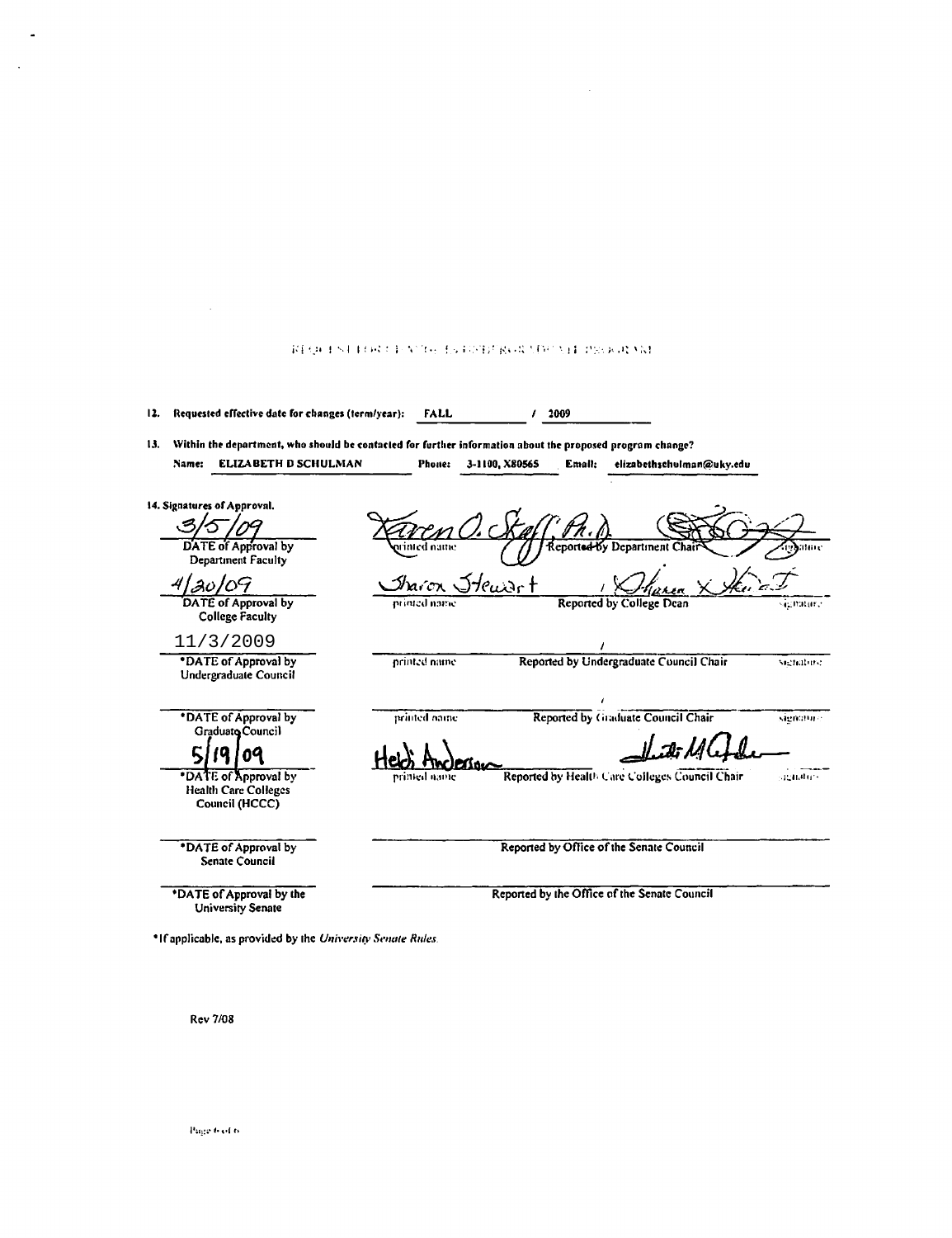| 12. | Requested effective date for changes (term/year):                     | FALL           | 2009                                                                                                                                                               |            |
|-----|-----------------------------------------------------------------------|----------------|--------------------------------------------------------------------------------------------------------------------------------------------------------------------|------------|
| 13. | <b>ELIZABETH D SCHULMAN</b><br>Name:                                  | Phone:         | Within the department, who should be contacted for further information about the proposed program change?<br>3-1100, X80565<br>Email:<br>elizabethschulman@uky.edu |            |
|     | 14. Signatures of Approval.                                           |                |                                                                                                                                                                    |            |
|     |                                                                       |                |                                                                                                                                                                    |            |
|     | DATE of Approval by<br>Department Faculty                             | ed name.       | Reported by Department Chai                                                                                                                                        |            |
|     | 4/20/09                                                               | Sharon Stewart |                                                                                                                                                                    |            |
|     | DATE of Approval by<br><b>College Faculty</b>                         | printed name   | <b>Reported by College Dean</b>                                                                                                                                    | ichaun.    |
|     | 11/3/2009                                                             |                |                                                                                                                                                                    |            |
|     | *DATE of Approval by<br>Undergraduate Council                         | nrinted name   | Reported by Undergraduate Council Chair                                                                                                                            | signature. |
|     | *DATE of Approval by<br>Graduato Council                              | printed name   | Reported by Graduate Council Chair                                                                                                                                 | signature. |
|     | 19.<br>09                                                             |                | <i>   ש- M</i>                                                                                                                                                     |            |
|     | *DATE of Approval by<br><b>Health Care Colleges</b><br>Council (HCCC) | printed name   | Reported by Health Care Colleges Council Chair                                                                                                                     | senatore   |
|     | *DATE of Approval by<br><b>Senate Council</b>                         |                | Reported by Office of the Senate Council                                                                                                                           |            |
|     | *DATE of Approval by the<br><b>University Senate</b>                  |                | Reported by the Office of the Senate Council                                                                                                                       |            |

REQUEST FOR CENTRE BATOSDERGRADE VEH PROGRAM

 $\sim$   $\sim$ 

**Rev 7/08** 

 $\sim 10$ 

÷.

 $\ddot{\phantom{a}}$ 

Page 6 of 6